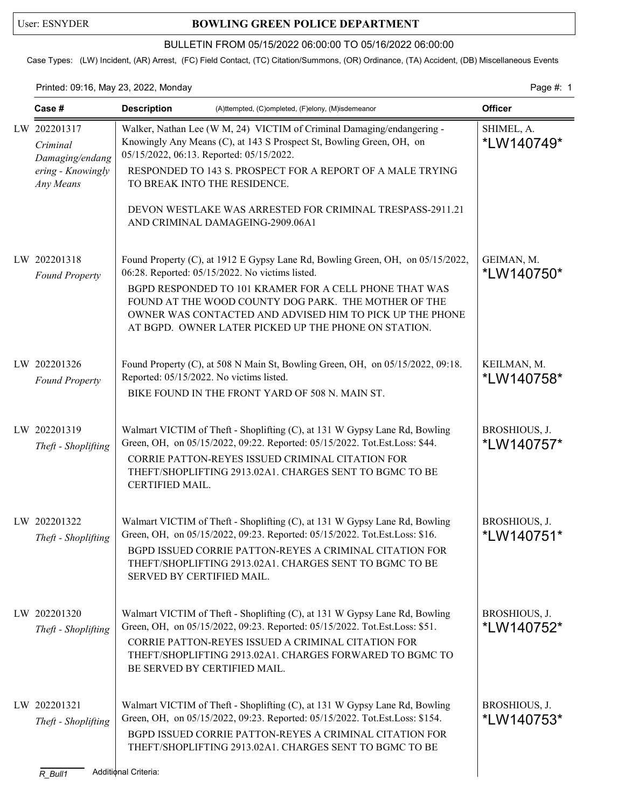## User: ESNYDER **BOWLING GREEN POLICE DEPARTMENT**

## BULLETIN FROM 05/15/2022 06:00:00 TO 05/16/2022 06:00:00

Case Types: (LW) Incident, (AR) Arrest, (FC) Field Contact, (TC) Citation/Summons, (OR) Ordinance, (TA) Accident, (DB) Miscellaneous Events

Printed: 09:16, May 23, 2022, Monday Page #: 1

| Case #                                                                        | <b>Description</b><br>(A)ttempted, (C)ompleted, (F)elony, (M)isdemeanor                                                                                                                                                                                                                                                                                                 |                             |
|-------------------------------------------------------------------------------|-------------------------------------------------------------------------------------------------------------------------------------------------------------------------------------------------------------------------------------------------------------------------------------------------------------------------------------------------------------------------|-----------------------------|
| LW 202201317<br>Criminal<br>Damaging/endang<br>ering - Knowingly<br>Any Means | Walker, Nathan Lee (W M, 24) VICTIM of Criminal Damaging/endangering -<br>Knowingly Any Means (C), at 143 S Prospect St, Bowling Green, OH, on<br>05/15/2022, 06:13. Reported: 05/15/2022.<br>RESPONDED TO 143 S. PROSPECT FOR A REPORT OF A MALE TRYING<br>TO BREAK INTO THE RESIDENCE.                                                                                | SHIMEL, A.<br>*LW140749*    |
|                                                                               | DEVON WESTLAKE WAS ARRESTED FOR CRIMINAL TRESPASS-2911.21<br>AND CRIMINAL DAMAGEING-2909.06A1                                                                                                                                                                                                                                                                           |                             |
| LW 202201318<br><b>Found Property</b>                                         | Found Property (C), at 1912 E Gypsy Lane Rd, Bowling Green, OH, on 05/15/2022,<br>06:28. Reported: 05/15/2022. No victims listed.<br>BGPD RESPONDED TO 101 KRAMER FOR A CELL PHONE THAT WAS<br>FOUND AT THE WOOD COUNTY DOG PARK. THE MOTHER OF THE<br>OWNER WAS CONTACTED AND ADVISED HIM TO PICK UP THE PHONE<br>AT BGPD. OWNER LATER PICKED UP THE PHONE ON STATION. | GEIMAN, M.<br>*LW140750*    |
| LW 202201326<br><b>Found Property</b>                                         | Found Property (C), at 508 N Main St, Bowling Green, OH, on 05/15/2022, 09:18.<br>Reported: 05/15/2022. No victims listed.<br>BIKE FOUND IN THE FRONT YARD OF 508 N. MAIN ST.                                                                                                                                                                                           | KEILMAN, M.<br>*LW140758*   |
| LW 202201319<br>Theft - Shoplifting                                           | Walmart VICTIM of Theft - Shoplifting (C), at 131 W Gypsy Lane Rd, Bowling<br>Green, OH, on 05/15/2022, 09:22. Reported: 05/15/2022. Tot.Est.Loss: \$44.<br>CORRIE PATTON-REYES ISSUED CRIMINAL CITATION FOR<br>THEFT/SHOPLIFTING 2913.02A1. CHARGES SENT TO BGMC TO BE<br>CERTIFIED MAIL.                                                                              | BROSHIOUS, J.<br>*LW140757* |
| LW 202201322<br>Theft - Shoplifting                                           | Walmart VICTIM of Theft - Shoplifting (C), at 131 W Gypsy Lane Rd, Bowling<br>Green, OH, on 05/15/2022, 09:23. Reported: 05/15/2022. Tot.Est.Loss: \$16.<br>BGPD ISSUED CORRIE PATTON-REYES A CRIMINAL CITATION FOR<br>THEFT/SHOPLIFTING 2913.02A1. CHARGES SENT TO BGMC TO BE<br>SERVED BY CERTIFIED MAIL.                                                             | BROSHIOUS, J.<br>*LW140751* |
| LW 202201320<br>Theft - Shoplifting                                           | Walmart VICTIM of Theft - Shoplifting (C), at 131 W Gypsy Lane Rd, Bowling<br>Green, OH, on 05/15/2022, 09:23. Reported: 05/15/2022. Tot.Est.Loss: \$51.<br>CORRIE PATTON-REYES ISSUED A CRIMINAL CITATION FOR<br>THEFT/SHOPLIFTING 2913.02A1. CHARGES FORWARED TO BGMC TO<br>BE SERVED BY CERTIFIED MAIL.                                                              | BROSHIOUS, J.<br>*LW140752* |
| LW 202201321<br>Theft - Shoplifting                                           | Walmart VICTIM of Theft - Shoplifting (C), at 131 W Gypsy Lane Rd, Bowling<br>Green, OH, on 05/15/2022, 09:23. Reported: 05/15/2022. Tot.Est.Loss: \$154.<br>BGPD ISSUED CORRIE PATTON-REYES A CRIMINAL CITATION FOR<br>THEFT/SHOPLIFTING 2913.02A1. CHARGES SENT TO BGMC TO BE                                                                                         | BROSHIOUS, J.<br>*LW140753* |
| $R_B$ ull1                                                                    | Additional Criteria:                                                                                                                                                                                                                                                                                                                                                    |                             |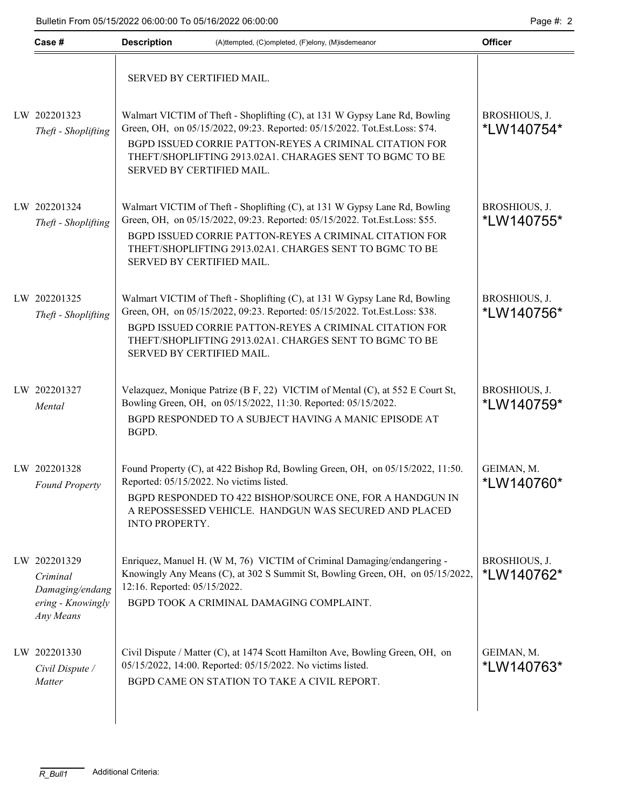| Case #                                                                        | <b>Description</b><br>(A)ttempted, (C)ompleted, (F)elony, (M)isdemeanor |                                                                                                                                                                                                                                                                                 | <b>Officer</b>                   |  |
|-------------------------------------------------------------------------------|-------------------------------------------------------------------------|---------------------------------------------------------------------------------------------------------------------------------------------------------------------------------------------------------------------------------------------------------------------------------|----------------------------------|--|
|                                                                               | SERVED BY CERTIFIED MAIL.                                               |                                                                                                                                                                                                                                                                                 |                                  |  |
| LW 202201323<br>Theft - Shoplifting                                           | SERVED BY CERTIFIED MAIL.                                               | Walmart VICTIM of Theft - Shoplifting (C), at 131 W Gypsy Lane Rd, Bowling<br>Green, OH, on 05/15/2022, 09:23. Reported: 05/15/2022. Tot.Est.Loss: \$74.<br>BGPD ISSUED CORRIE PATTON-REYES A CRIMINAL CITATION FOR<br>THEFT/SHOPLIFTING 2913.02A1. CHARAGES SENT TO BGMC TO BE | BROSHIOUS, J.<br>*LW140754*      |  |
| LW 202201324<br>Theft - Shoplifting                                           | SERVED BY CERTIFIED MAIL.                                               | Walmart VICTIM of Theft - Shoplifting (C), at 131 W Gypsy Lane Rd, Bowling<br>Green, OH, on 05/15/2022, 09:23. Reported: 05/15/2022. Tot.Est.Loss: \$55.<br>BGPD ISSUED CORRIE PATTON-REYES A CRIMINAL CITATION FOR<br>THEFT/SHOPLIFTING 2913.02A1. CHARGES SENT TO BGMC TO BE  | BROSHIOUS, J.<br>*LW140755*      |  |
| LW 202201325<br>Theft - Shoplifting                                           | SERVED BY CERTIFIED MAIL.                                               | Walmart VICTIM of Theft - Shoplifting (C), at 131 W Gypsy Lane Rd, Bowling<br>Green, OH, on 05/15/2022, 09:23. Reported: 05/15/2022. Tot.Est.Loss: \$38.<br>BGPD ISSUED CORRIE PATTON-REYES A CRIMINAL CITATION FOR<br>THEFT/SHOPLIFTING 2913.02A1. CHARGES SENT TO BGMC TO BE  | BROSHIOUS, J.<br>*LW140756*      |  |
| LW 202201327<br>Mental                                                        | BGPD.                                                                   | Velazquez, Monique Patrize (B F, 22) VICTIM of Mental (C), at 552 E Court St,<br>Bowling Green, OH, on 05/15/2022, 11:30. Reported: 05/15/2022.<br>BGPD RESPONDED TO A SUBJECT HAVING A MANIC EPISODE AT                                                                        | BROSHIOUS, J.<br>*LW140759*      |  |
| LW 202201328<br><b>Found Property</b>                                         | INTO PROPERTY.                                                          | Found Property (C), at 422 Bishop Rd, Bowling Green, OH, on 05/15/2022, 11:50.<br>Reported: 05/15/2022. No victims listed.<br>BGPD RESPONDED TO 422 BISHOP/SOURCE ONE, FOR A HANDGUN IN<br>A REPOSSESSED VEHICLE. HANDGUN WAS SECURED AND PLACED                                | GEIMAN, M.<br>*LW140760*         |  |
| LW 202201329<br>Criminal<br>Damaging/endang<br>ering - Knowingly<br>Any Means | 12:16. Reported: 05/15/2022.                                            | Enriquez, Manuel H. (W M, 76) VICTIM of Criminal Damaging/endangering -<br>Knowingly Any Means (C), at 302 S Summit St, Bowling Green, OH, on 05/15/2022,<br>BGPD TOOK A CRIMINAL DAMAGING COMPLAINT.                                                                           | BROSHIOUS, J.<br>*LW140762*      |  |
| LW 202201330<br>Civil Dispute /<br>Matter                                     |                                                                         | Civil Dispute / Matter (C), at 1474 Scott Hamilton Ave, Bowling Green, OH, on<br>05/15/2022, 14:00. Reported: 05/15/2022. No victims listed.<br>BGPD CAME ON STATION TO TAKE A CIVIL REPORT.                                                                                    | GEIMAN, M.<br><i>*</i> LW140763* |  |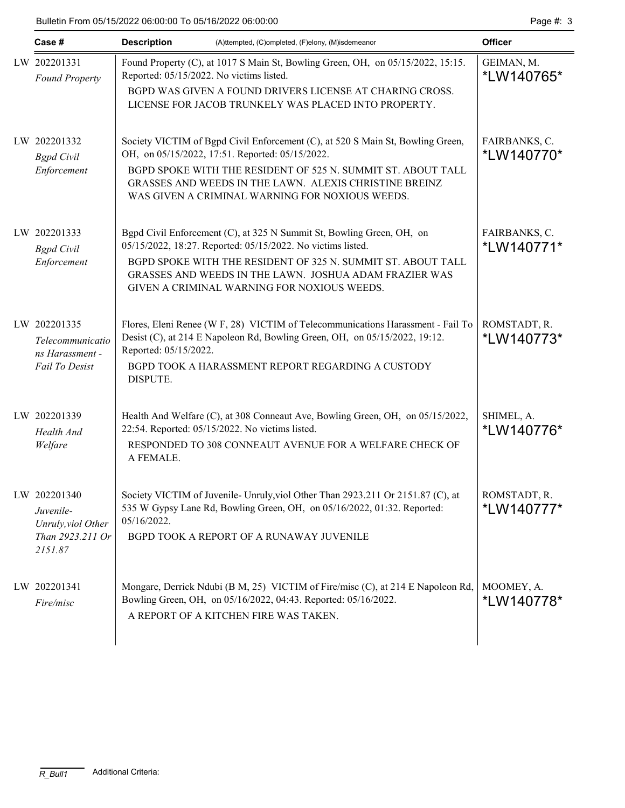| Case #                                                                         | <b>Description</b><br>(A)ttempted, (C)ompleted, (F)elony, (M)isdemeanor                                                                                                                                                                                                                                        | <b>Officer</b>              |
|--------------------------------------------------------------------------------|----------------------------------------------------------------------------------------------------------------------------------------------------------------------------------------------------------------------------------------------------------------------------------------------------------------|-----------------------------|
| LW 202201331<br><b>Found Property</b>                                          | Found Property (C), at 1017 S Main St, Bowling Green, OH, on 05/15/2022, 15:15.<br>Reported: 05/15/2022. No victims listed.<br>BGPD WAS GIVEN A FOUND DRIVERS LICENSE AT CHARING CROSS.<br>LICENSE FOR JACOB TRUNKELY WAS PLACED INTO PROPERTY.                                                                | GEIMAN, M.<br>*LW140765*    |
| LW 202201332<br><b>Bgpd</b> Civil<br>Enforcement                               | Society VICTIM of Bgpd Civil Enforcement (C), at 520 S Main St, Bowling Green,<br>OH, on 05/15/2022, 17:51. Reported: 05/15/2022.<br>BGPD SPOKE WITH THE RESIDENT OF 525 N. SUMMIT ST. ABOUT TALL<br>GRASSES AND WEEDS IN THE LAWN. ALEXIS CHRISTINE BREINZ<br>WAS GIVEN A CRIMINAL WARNING FOR NOXIOUS WEEDS. | FAIRBANKS, C.<br>*LW140770* |
| LW 202201333<br><b>Bgpd</b> Civil<br>Enforcement                               | Bgpd Civil Enforcement (C), at 325 N Summit St, Bowling Green, OH, on<br>05/15/2022, 18:27. Reported: 05/15/2022. No victims listed.<br>BGPD SPOKE WITH THE RESIDENT OF 325 N. SUMMIT ST. ABOUT TALL<br>GRASSES AND WEEDS IN THE LAWN. JOSHUA ADAM FRAZIER WAS<br>GIVEN A CRIMINAL WARNING FOR NOXIOUS WEEDS.  | FAIRBANKS, C.<br>*LW140771* |
| LW 202201335<br>Telecommunicatio<br>ns Harassment -<br>Fail To Desist          | Flores, Eleni Renee (W F, 28) VICTIM of Telecommunications Harassment - Fail To<br>Desist (C), at 214 E Napoleon Rd, Bowling Green, OH, on 05/15/2022, 19:12.<br>Reported: 05/15/2022.<br>BGPD TOOK A HARASSMENT REPORT REGARDING A CUSTODY<br>DISPUTE.                                                        | ROMSTADT, R.<br>*LW140773*  |
| LW 202201339<br>Health And<br>Welfare                                          | Health And Welfare (C), at 308 Conneaut Ave, Bowling Green, OH, on 05/15/2022,<br>22:54. Reported: 05/15/2022. No victims listed.<br>RESPONDED TO 308 CONNEAUT AVENUE FOR A WELFARE CHECK OF<br>A FEMALE.                                                                                                      | SHIMEL, A.<br>*LW140776*    |
| LW 202201340<br>Juvenile-<br>Unruly, viol Other<br>Than 2923.211 Or<br>2151.87 | Society VICTIM of Juvenile- Unruly, viol Other Than 2923.211 Or 2151.87 (C), at<br>535 W Gypsy Lane Rd, Bowling Green, OH, on 05/16/2022, 01:32. Reported:<br>05/16/2022.<br>BGPD TOOK A REPORT OF A RUNAWAY JUVENILE                                                                                          | ROMSTADT, R.<br>*LW140777*  |
| LW 202201341<br>Fire/misc                                                      | Mongare, Derrick Ndubi (B M, 25) VICTIM of Fire/misc (C), at 214 E Napoleon Rd,<br>Bowling Green, OH, on 05/16/2022, 04:43. Reported: 05/16/2022.<br>A REPORT OF A KITCHEN FIRE WAS TAKEN.                                                                                                                     | MOOMEY, A.<br>*LW140778*    |